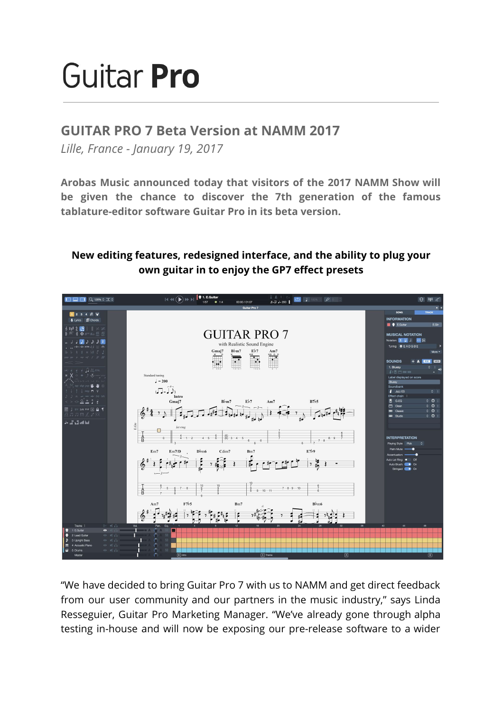# Guitar Pro

# **GUITAR PRO 7 Beta Version at NAMM 2017**

*Lille, France - January 19, 2017*

**Arobas Music announced today that visitors of the 2017 NAMM Show will be given the chance to discover the 7th generation of the famous tablature-editor software Guitar Pro in its beta version.**

# **New editing features, redesigned interface, and the ability to plug your own guitar in to enjoy the GP7 effect presets**



"We have decided to bring Guitar Pro 7 with us to NAMM and get direct feedback from our user community and our partners in the music industry," says Linda Resseguier, Guitar Pro Marketing Manager. "We've already gone through alpha testing in-house and will now be exposing our pre-release software to a wider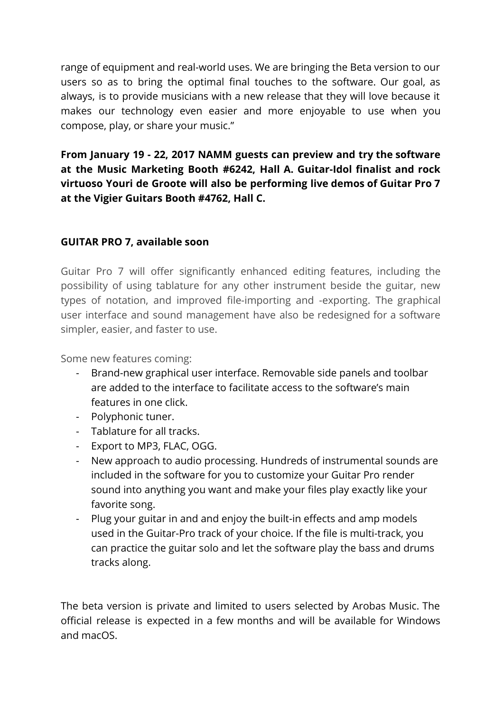range of equipment and real-world uses. We are bringing the Beta version to our users so as to bring the optimal final touches to the software. Our goal, as always, is to provide musicians with a new release that they will love because it makes our technology even easier and more enjoyable to use when you compose, play, or share your music."

**From January 19 - 22, 2017 NAMM guests can preview and try the software at the Music Marketing Booth #6242, Hall A. Guitar-Idol finalist and rock virtuoso Youri de Groote will also be performing live demos of Guitar Pro 7 at the Vigier Guitars Booth #4762, Hall C.**

## **GUITAR PRO 7, available soon**

Guitar Pro 7 will offer significantly enhanced editing features, including the possibility of using tablature for any other instrument beside the guitar, new types of notation, and improved file-importing and -exporting. The graphical user interface and sound management have also be redesigned for a software simpler, easier, and faster to use.

Some new features coming:

- Brand-new graphical user interface. Removable side panels and toolbar are added to the interface to facilitate access to the software's main features in one click.
- Polyphonic tuner.
- Tablature for all tracks.
- Export to MP3, FLAC, OGG.
- New approach to audio processing. Hundreds of instrumental sounds are included in the software for you to customize your Guitar Pro render sound into anything you want and make your files play exactly like your favorite song.
- Plug your guitar in and and enjoy the built-in effects and amp models used in the Guitar-Pro track of your choice. If the file is multi-track, you can practice the guitar solo and let the software play the bass and drums tracks along.

The beta version is private and limited to users selected by Arobas Music. The official release is expected in a few months and will be available for Windows and macOS.